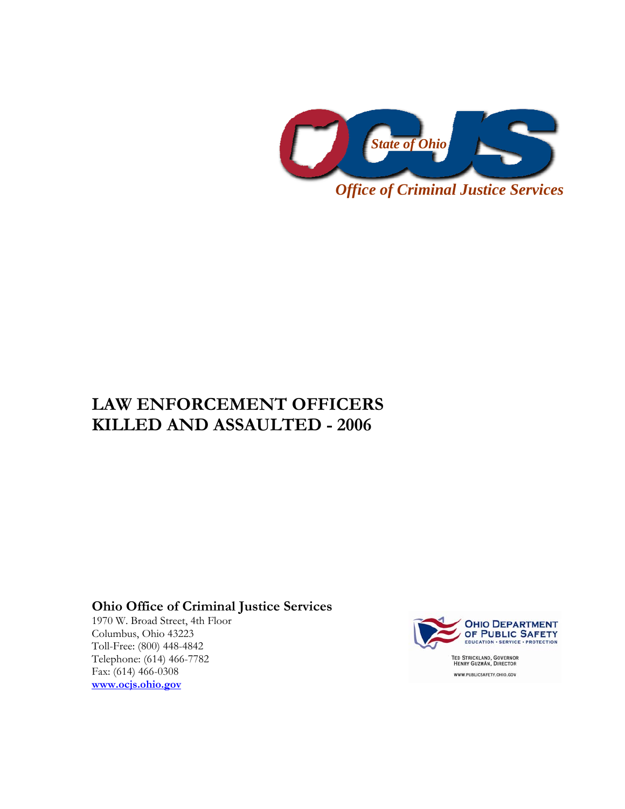

# **LAW ENFORCEMENT OFFICERS KILLED AND ASSAULTED - 2006**

## **Ohio Office of Criminal Justice Services**

1970 W. Broad Street, 4th Floor Columbus, Ohio 43223 Toll-Free: (800) 448-4842 Telephone: (614) 466-7782 Fax: (614) 466-0308 **www.ocjs.ohio.gov**

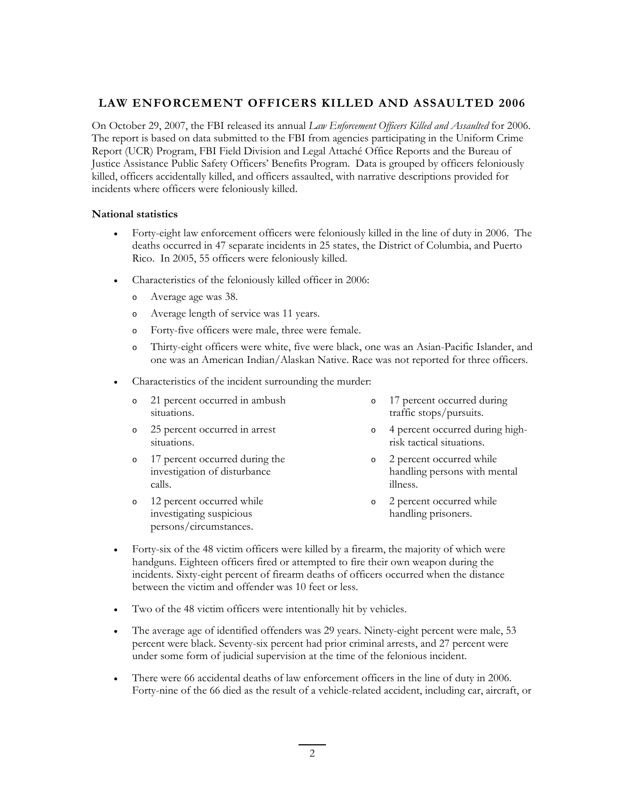## **LAW ENFORCEMENT OFFICERS KILLED AND ASSAULTED 2006**

On October 29, 2007, the FBI released its annual *Law Enforcement Officers Killed and Assaulted* for 2006. The report is based on data submitted to the FBI from agencies participating in the Uniform Crime Report (UCR) Program, FBI Field Division and Legal Attaché Office Reports and the Bureau of Justice Assistance Public Safety Officers' Benefits Program. Data is grouped by officers feloniously killed, officers accidentally killed, and officers assaulted, with narrative descriptions provided for incidents where officers were feloniously killed.

### **National statistics**

- Forty-eight law enforcement officers were feloniously killed in the line of duty in 2006. The deaths occurred in 47 separate incidents in 25 states, the District of Columbia, and Puerto Rico. In 2005, 55 officers were feloniously killed.
- Characteristics of the feloniously killed officer in 2006:
	- o Average age was 38.
	- o Average length of service was 11 years.
	- o Forty-five officers were male, three were female.
	- o Thirty-eight officers were white, five were black, one was an Asian-Pacific Islander, and one was an American Indian/Alaskan Native. Race was not reported for three officers.
- Characteristics of the incident surrounding the murder:

| o 21 percent occurred in ambush | o 17 percent occurred during |
|---------------------------------|------------------------------|
| situations.                     | traffic stops/pursuits.      |

- o 25 percent occurred in arrest situations. o 4 percent occurred during highrisk tactical situations.
- 17 percent occurred during the investigation of disturbance calls. o 2 percent occurred while handling persons with mental illness.
- o 12 percent occurred while investigating suspicious persons/circumstances. o 2 percent occurred while handling prisoners.
- Forty-six of the 48 victim officers were killed by a firearm, the majority of which were handguns. Eighteen officers fired or attempted to fire their own weapon during the incidents. Sixty-eight percent of firearm deaths of officers occurred when the distance between the victim and offender was 10 feet or less.
- Two of the 48 victim officers were intentionally hit by vehicles.
- The average age of identified offenders was 29 years. Ninety-eight percent were male, 53 percent were black. Seventy-six percent had prior criminal arrests, and 27 percent were under some form of judicial supervision at the time of the felonious incident.
- There were 66 accidental deaths of law enforcement officers in the line of duty in 2006. Forty-nine of the 66 died as the result of a vehicle-related accident, including car, aircraft, or